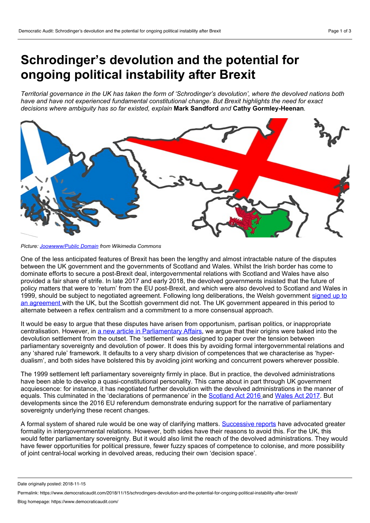# **Schrodinger's devolution and the potential for ongoing political instability after Brexit**

Territorial governance in the UK has taken the form of 'Schrodinger's devolution', where the devolved nations both *have and have not experienced fundamental constitutional change. But Brexit highlights the need for exact decisions where ambiguity has so far existed, explain* **Mark Sandford** *and* **Cathy Gormley-Heenan***.*



*Picture: [Joowwww/Public](https://commons.wikimedia.org/wiki/File:Britain_breakup.svg) Domain from Wikimedia Commons*

One of the less anticipated features of Brexit has been the lengthy and almost intractable nature of the disputes between the UK government and the governments of Scotland and Wales. Whilst the Irish border has come to dominate efforts to secure a post-Brexit deal, intergovernmental relations with Scotland and Wales have also provided a fair share of strife. In late 2017 and early 2018, the devolved governments insisted that the future of policy matters that were to 'return' from the EU post-Brexit, and which were also devolved to Scotland and Wales in 1999, should be subject to negotiated agreement. Following long [deliberations,](https://www.gov.uk/government/news/uk-and-welsh-governments-reach-agreement-on-eu-withdrawal-bill) the Welsh government signed up to an agreement with the UK, but the Scottish government did not. The UK government appeared in this period to alternate between a reflex centralism and a commitment to a more consensual approach.

It would be easy to argue that these disputes have arisen from opportunism, partisan politics, or inappropriate centralisation. However, in a new article in [Parliamentary](https://academic.oup.com/pa/advance-article/doi/10.1093/pa/gsy039/5151288?guestAccessKey=20f1ac85-18c1-4e63-b1fc-2e3c9b4fbff1) Affairs, we argue that their origins were baked into the devolution settlement from the outset. The 'settlement' was designed to paper over the tension between parliamentary sovereignty and devolution of power. It does this by avoiding formal intergovernmental relations and any 'shared rule' framework. It defaults to a very sharp division of competences that we characterise as 'hyper dualism', and both sides have bolstered this by avoiding joint working and concurrent powers wherever possible.

The 1999 settlement left parliamentary sovereignty firmly in place. But in practice, the devolved administrations have been able to develop a quasi-constitutional personality. This came about in part through UK government acquiescence: for instance, it has negotiated further devolution with the devolved administrations in the manner of equals. This culminated in the 'declarations of permanence' in the [Scotland](https://www.legislation.gov.uk/ukpga/2016/11/contents) Act 2016 and [Wales](https://www.legislation.gov.uk/ukpga/2017/4/contents) Act 2017. But developments since the 2016 EU referendum demonstrate enduring support for the narrative of parliamentary sovereignty underlying these recent changes.

A formal system of shared rule would be one way of clarifying matters. [Successive](https://publications.parliament.uk/pa/cm201719/cmselect/cmpubadm/442/442.pdf) [reports](https://publications.parliament.uk/pa/ld201516/ldselect/ldconst/149/149.pdf) have advocated greater formality in intergovernmental relations. However, both sides have their reasons to avoid this. For the UK, this would fetter parliamentary sovereignty. But it would also limit the reach of the devolved administrations. They would have fewer opportunities for political pressure, fewer fuzzy spaces of competence to colonise, and more possibility of joint central-local working in devolved areas, reducing their own 'decision space'.

Date originally posted: 2018-11-15

Permalink: https://www.democraticaudit.com/2018/11/15/schrodingers-devolution-and-the-potential-for-ongoing-political-instability-after-brexit/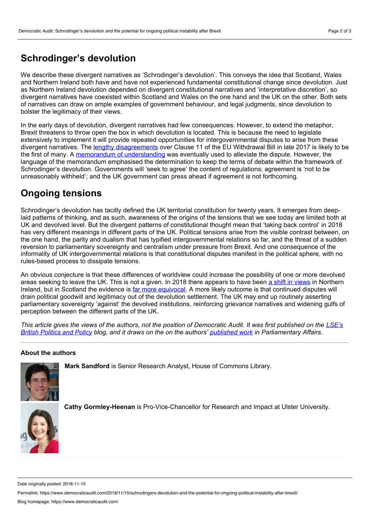### **Schrodinger's devolution**

We describe these divergent narratives as 'Schrodinger's devolution'. This conveys the idea that Scotland, Wales and Northern Ireland both have and have not experienced fundamental constitutional change since devolution. Just as Northern Ireland devolution depended on divergent constitutional narratives and 'interpretative discretion', so divergent narratives have coexisted within Scotland and Wales on the one hand and the UK on the other. Both sets of narratives can draw on ample examples of government behaviour, and legal judgments, since devolution to bolster the legitimacy of their views.

In the early days of devolution, divergent narratives had few consequences. However, to extend the metaphor, Brexit threatens to throw open the box in which devolution is located. This is because the need to legislate extensively to implement it will provide repeated opportunities for intergovernmental disputes to arise from these divergent narratives. The lengthy [disagreements](https://www.instituteforgovernment.org.uk/explainers/eu-withdrawal-bill-clause-11-devolution) over Clause 11 of the EU Withdrawal Bill in late 2017 is likely to be the first of many. A memorandum of [understanding](https://www.gov.uk/government/news/uk-and-welsh-governments-reach-agreement-on-eu-withdrawal-bill) was eventually used to alleviate the dispute. However, the language of the memorandum emphasised the determination to keep the terms of debate within the framework of Schrodinger's devolution. Governments will 'seek to agree' the content of regulations; agreement is 'not to be unreasonably withheld'; and the UK government can press ahead if agreement is not forthcoming.

## **Ongoing tensions**

Schrodinger's devolution has tacitly defined the UK territorial constitution for twenty years. It emerges from deeplaid patterns of thinking, and as such, awareness of the origins of the tensions that we see today are limited both at UK and devolved level. But the divergent patterns of constitutional thought mean that 'taking back control' in 2018 has very different meanings in different parts of the UK. Political tensions arise from the visible contrast between, on the one hand, the parity and dualism that has typified intergovernmental relations so far, and the threat of a sudden reversion to parliamentary sovereignty and centralism under pressure from Brexit. And one consequence of the informality of UK intergovernmental relations is that constitutional disputes manifest in the political sphere, with no rules-based process to dissipate tensions.

An obvious conjecture is that these differences of worldview could increase the possibility of one or more devolved areas seeking to leave the UK. This is not a given. In 2018 there appears to have been a shift in [views](https://www.independent.co.uk/news/uk/politics/brexit-united-ireland-referendum-northern-border-uk-yougov-poll-a8389086.html) in Northern Ireland, but in Scotland the evidence is far more [equivocal](https://www.deltapoll.co.uk/polls/scotland-independence-brexit). A more likely outcome is that continued disputes will drain political goodwill and legitimacy out of the devolution settlement. The UK may end up routinely asserting parliamentary sovereignty 'against' the devolved institutions, reinforcing grievance narratives and widening gulfs of perception between the different parts of the UK.

This article gives the views of the authors, not the position of Democratic Audit. It was first published on the LSE's British Politics and Policy blog, and it draws on the on the authors' [published](https://academic.oup.com/pa/advance-article/doi/10.1093/pa/gsy039/5151288?rss=1) work in [Parliamentary](https://blogs.lse.ac.uk/politicsandpolicy/schrodingers-devolution/) Affairs.

#### **About the authors**



**Mark Sandford** is Senior Research Analyst, House of Commons Library.



**Cathy Gormley-Heenan** is Pro-Vice-Chancellor for Research and Impact at Ulster University.

Date originally posted: 2018-11-15

Permalink: https://www.democraticaudit.com/2018/11/15/schrodingers-devolution-and-the-potential-for-ongoing-political-instability-after-brexit/